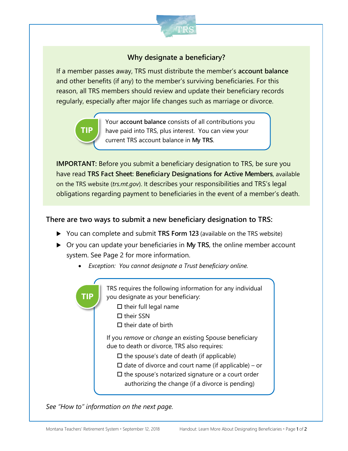

# **Why designate a beneficiary?**

If a member passes away, TRS must distribute the member's **account balance** and other benefits (if any) to the member's surviving beneficiaries. For this reason, all TRS members should review and update their beneficiary records regularly, especially after major life changes such as marriage or divorce.

> Your **account balance** consists of all contributions you have paid into TRS, plus interest. You can view your current TRS account balance in **My TRS**.

**IMPORTANT:** Before you submit a beneficiary designation to TRS, be sure you have read **TRS Fact Sheet: Beneficiary Designations for Active Members**, available on the TRS website (*trs.mt.gov*). It describes your responsibilities and TRS's legal obligations regarding payment to beneficiaries in the event of a member's death.

### **There are two ways to submit a new beneficiary designation to TRS:**

- ▶ You can complete and submit **TRS Form 123** (available on the TRS website)
- Or you can update your beneficiaries in **My TRS**, the online member account system. See Page 2 for more information.
	- *Exception: You cannot designate a Trust beneficiary online.*

TRS requires the following information for any individual you designate as your beneficiary:  $\square$  their full legal name  $\Box$  their SSN  $\Pi$  their date of birth If you *remove* or *change* an existing Spouse beneficiary due to death or divorce, TRS also requires:  $\Box$  the spouse's date of death (if applicable)  $\Box$  date of divorce and court name (if applicable) – or  $\square$  the spouse's notarized signature or a court order authorizing the change (if a divorce is pending) **TIP**

*See "How to" information on the next page.*

**TIP**